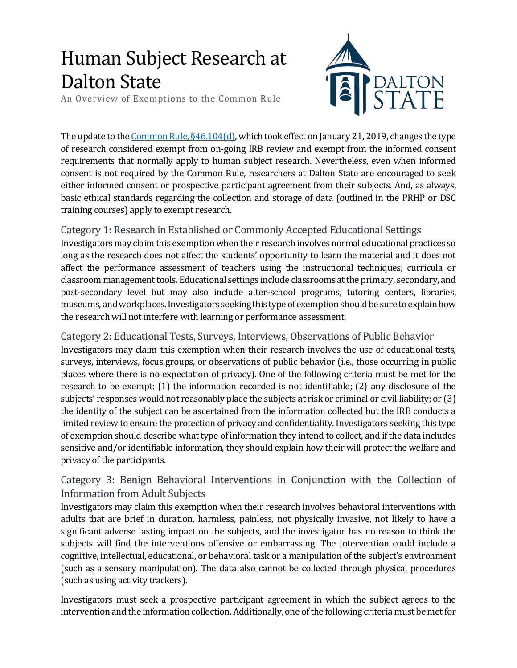# Human Subject Research at Dalton State

An Overview of Exemptions to the Common Rule



The update to th[e Common Rule, §46.104\(d\),](https://www.ecfr.gov/cgi-bin/retrieveECFR?gp=&SID=83cd09e1c0f5c6937cd9d7513160fc3f&pitd=20180719&n=pt45.1.46&r=PART&ty=HTML#se45.1.46_1104) which took effect on January 21, 2019, changes the type of research considered exempt from on-going IRB review and exempt from the informed consent requirements that normally apply to human subject research. Nevertheless, even when informed consent is not required by the Common Rule, researchers at Dalton State are encouraged to seek either informed consent or prospective participant agreement from their subjects. And, as always, basic ethical standards regarding the collection and storage of data (outlined in the PRHP or DSC training courses) apply to exempt research.

### Category 1: Research in Established or Commonly Accepted Educational Settings

Investigators may claim this exemptionwhen their research involves normal educational practices so long as the research does not affect the students' opportunity to learn the material and it does not affect the performance assessment of teachers using the instructional techniques, curricula or classroom management tools. Educational settings include classrooms at the primary, secondary, and post-secondary level but may also include after-school programs, tutoring centers, libraries, museums, and workplaces.Investigators seeking this type of exemption should be sure to explain how the research will not interfere with learning or performance assessment.

Category 2: Educational Tests, Surveys, Interviews, Observations of Public Behavior Investigators may claim this exemption when their research involves the use of educational tests,

surveys, interviews, focus groups, or observations of public behavior (i.e., those occurring in public places where there is no expectation of privacy). One of the following criteria must be met for the research to be exempt: (1) the information recorded is not identifiable; (2) any disclosure of the subjects' responses would not reasonably place the subjects at risk or criminal or civil liability; or (3) the identity of the subject can be ascertained from the information collected but the IRB conducts a limited review to ensure the protection of privacy and confidentiality. Investigators seeking this type of exemption should describe what type of information they intend to collect, and if the data includes sensitive and/or identifiable information, they should explain how their will protect the welfare and privacy of the participants.

## Category 3: Benign Behavioral Interventions in Conjunction with the Collection of Information from Adult Subjects

Investigators may claim this exemption when their research involves behavioral interventions with adults that are brief in duration, harmless, painless, not physically invasive, not likely to have a significant adverse lasting impact on the subjects, and the investigator has no reason to think the subjects will find the interventions offensive or embarrassing. The intervention could include a cognitive, intellectual, educational, or behavioral task or a manipulation of the subject's environment (such as a sensory manipulation). The data also cannot be collected through physical procedures (such as using activity trackers).

Investigators must seek a prospective participant agreement in which the subject agrees to the intervention and the information collection. Additionally, one of the following criteria must be met for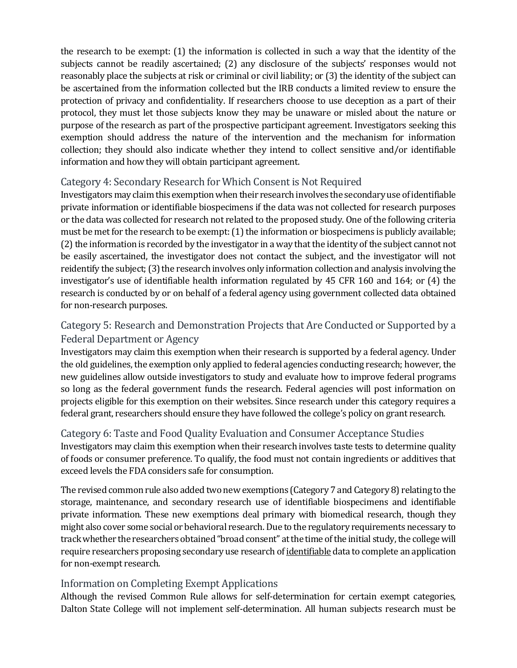the research to be exempt: (1) the information is collected in such a way that the identity of the subjects cannot be readily ascertained; (2) any disclosure of the subjects' responses would not reasonably place the subjects at risk or criminal or civil liability; or (3) the identity of the subject can be ascertained from the information collected but the IRB conducts a limited review to ensure the protection of privacy and confidentiality. If researchers choose to use deception as a part of their protocol, they must let those subjects know they may be unaware or misled about the nature or purpose of the research as part of the prospective participant agreement. Investigators seeking this exemption should address the nature of the intervention and the mechanism for information collection; they should also indicate whether they intend to collect sensitive and/or identifiable information and how they will obtain participant agreement.

### Category 4: Secondary Research for Which Consent is Not Required

Investigators may claim this exemption when their research involves the secondary use of identifiable private information or identifiable biospecimens if the data was not collected for research purposes or the data was collected for research not related to the proposed study. One of the following criteria must be met for the research to be exempt: (1) the information or biospecimens is publicly available; (2) the information is recorded by the investigator in a way that the identity of the subject cannot not be easily ascertained, the investigator does not contact the subject, and the investigator will not reidentify the subject; (3) the research involves only information collection and analysis involving the investigator's use of identifiable health information regulated by 45 CFR 160 and 164; or (4) the research is conducted by or on behalf of a federal agency using government collected data obtained for non-research purposes.

## Category 5: Research and Demonstration Projects that Are Conducted or Supported by a Federal Department or Agency

Investigators may claim this exemption when their research is supported by a federal agency. Under the old guidelines, the exemption only applied to federal agencies conducting research; however, the new guidelines allow outside investigators to study and evaluate how to improve federal programs so long as the federal government funds the research. Federal agencies will post information on projects eligible for this exemption on their websites. Since research under this category requires a federal grant, researchers should ensure they have followed the college's policy on grant research.

## Category 6: Taste and Food Quality Evaluation and Consumer Acceptance Studies

Investigators may claim this exemption when their research involves taste tests to determine quality of foods or consumer preference. To qualify, the food must not contain ingredients or additives that exceed levels the FDA considers safe for consumption.

The revised common rule also added two new exemptions (Category 7 and Category 8) relating to the storage, maintenance, and secondary research use of identifiable biospecimens and identifiable private information. These new exemptions deal primary with biomedical research, though they might also cover some social or behavioral research. Due to the regulatory requirements necessary to track whether the researchers obtained"broad consent" at the time of the initial study, the college will require researchers proposing secondary use research of identifiable data to complete an application for non-exempt research.

#### Information on Completing Exempt Applications

Although the revised Common Rule allows for self-determination for certain exempt categories, Dalton State College will not implement self-determination. All human subjects research must be